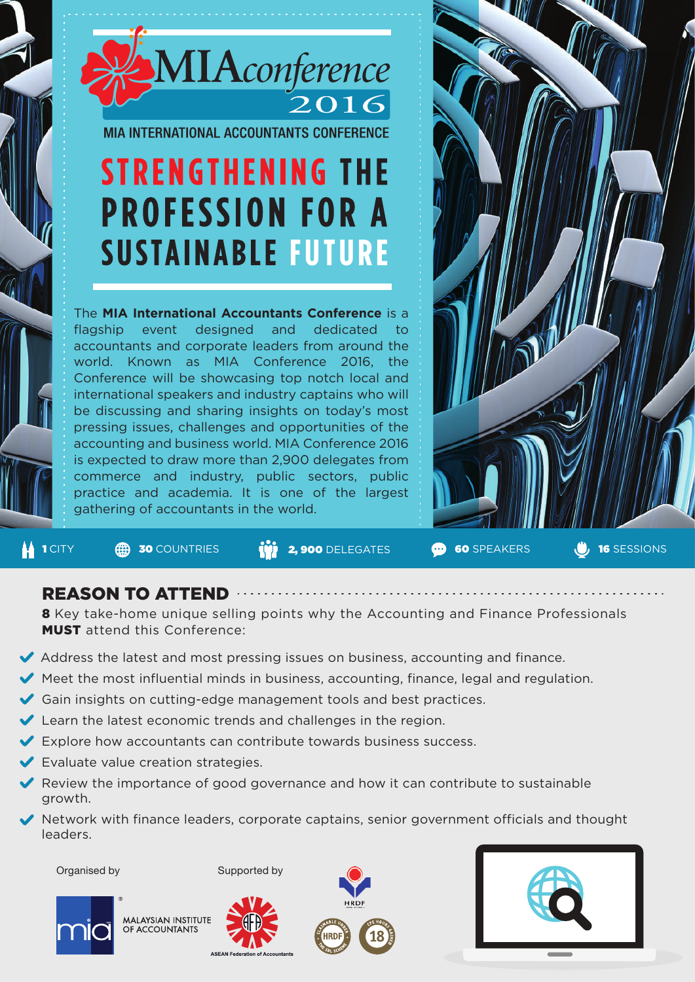

**MIA INTERNATIONAL ACCOUNTANTS CONFERENCE** 

# **STRENGTHENING THE PROFESSION FOR A SUSTAINABLE FUTURE**

The **MIA International Accountants Conference** is a flagship event designed and dedicated to accountants and corporate leaders from around the world. Known as MIA Conference 2016, the Conference will be showcasing top notch local and international speakers and industry captains who will be discussing and sharing insights on today's most pressing issues, challenges and opportunities of the accounting and business world. MIA Conference 2016 is expected to draw more than 2,900 delegates from commerce and industry, public sectors, public practice and academia. It is one of the largest gathering of accountants in the world.



1 CITY **30** COUNTRIES **(1) 2,900** DELEGATES **60** SPEAKERS UP 16 SESSIONS

## REASON TO ATTEND

8 Key take-home unique selling points why the Accounting and Finance Professionals MUST attend this Conference:

- $\blacktriangleright$  Address the latest and most pressing issues on business, accounting and finance.
- $\blacktriangleright$  Meet the most influential minds in business, accounting, finance, legal and regulation.
- Gain insights on cutting-edge management tools and best practices.
- Learn the latest economic trends and challenges in the region.
- $\blacktriangleright$  Explore how accountants can contribute towards business success.
- $\blacktriangleright$  Evaluate value creation strategies.
- Review the importance of good governance and how it can contribute to sustainable growth.
- Network with finance leaders, corporate captains, senior government officials and thought leaders.

Organised by Supported by



**MALAYSIAN INSTITUTE** OF ACCOUNTANTS